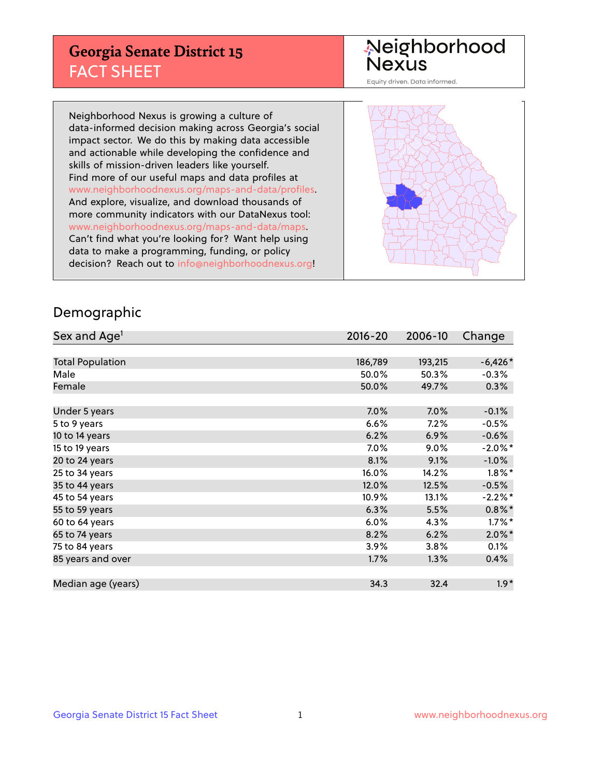## **Georgia Senate District 15** FACT SHEET

# Neighborhood<br>Nexus

Equity driven. Data informed.

Neighborhood Nexus is growing a culture of data-informed decision making across Georgia's social impact sector. We do this by making data accessible and actionable while developing the confidence and skills of mission-driven leaders like yourself. Find more of our useful maps and data profiles at www.neighborhoodnexus.org/maps-and-data/profiles. And explore, visualize, and download thousands of more community indicators with our DataNexus tool: www.neighborhoodnexus.org/maps-and-data/maps. Can't find what you're looking for? Want help using data to make a programming, funding, or policy decision? Reach out to [info@neighborhoodnexus.org!](mailto:info@neighborhoodnexus.org)



### Demographic

| Sex and Age <sup>1</sup> | $2016 - 20$ | 2006-10 | Change     |
|--------------------------|-------------|---------|------------|
|                          |             |         |            |
| <b>Total Population</b>  | 186,789     | 193,215 | $-6,426*$  |
| Male                     | 50.0%       | 50.3%   | $-0.3%$    |
| Female                   | 50.0%       | 49.7%   | 0.3%       |
|                          |             |         |            |
| Under 5 years            | 7.0%        | 7.0%    | $-0.1%$    |
| 5 to 9 years             | 6.6%        | 7.2%    | $-0.5\%$   |
| 10 to 14 years           | 6.2%        | 6.9%    | $-0.6%$    |
| 15 to 19 years           | 7.0%        | 9.0%    | $-2.0\%$ * |
| 20 to 24 years           | 8.1%        | 9.1%    | $-1.0%$    |
| 25 to 34 years           | 16.0%       | 14.2%   | $1.8\%$ *  |
| 35 to 44 years           | 12.0%       | 12.5%   | $-0.5%$    |
| 45 to 54 years           | 10.9%       | 13.1%   | $-2.2%$ *  |
| 55 to 59 years           | 6.3%        | 5.5%    | $0.8\%$ *  |
| 60 to 64 years           | $6.0\%$     | 4.3%    | $1.7\%$ *  |
| 65 to 74 years           | 8.2%        | 6.2%    | $2.0\%$ *  |
| 75 to 84 years           | 3.9%        | 3.8%    | 0.1%       |
| 85 years and over        | 1.7%        | 1.3%    | 0.4%       |
|                          |             |         |            |
| Median age (years)       | 34.3        | 32.4    | $1.9*$     |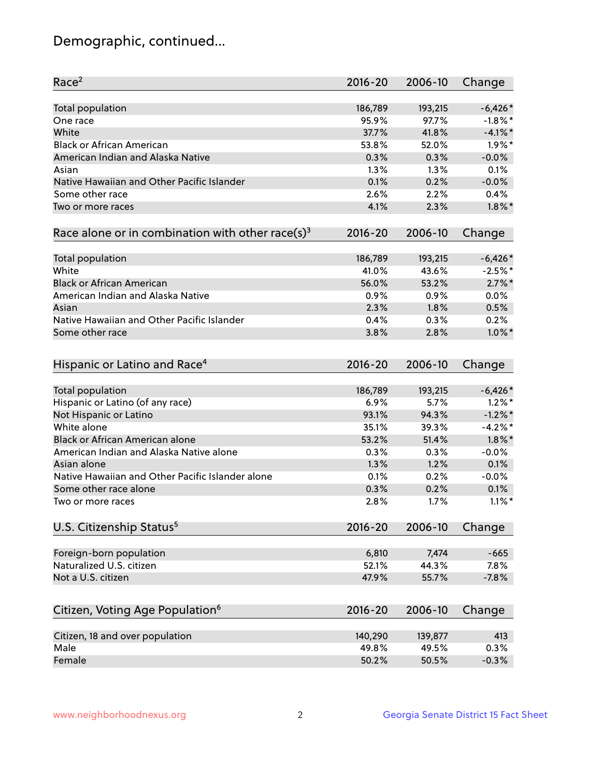## Demographic, continued...

| Race <sup>2</sup>                                            | $2016 - 20$ | 2006-10 | Change     |
|--------------------------------------------------------------|-------------|---------|------------|
| Total population                                             | 186,789     | 193,215 | $-6,426*$  |
| One race                                                     | 95.9%       | 97.7%   | $-1.8\%$ * |
| White                                                        | 37.7%       | 41.8%   | $-4.1\%$ * |
| <b>Black or African American</b>                             | 53.8%       | 52.0%   | $1.9\%$ *  |
| American Indian and Alaska Native                            | 0.3%        | 0.3%    | $-0.0%$    |
| Asian                                                        | 1.3%        | 1.3%    | 0.1%       |
| Native Hawaiian and Other Pacific Islander                   | 0.1%        | 0.2%    | $-0.0%$    |
| Some other race                                              | 2.6%        | 2.2%    | 0.4%       |
| Two or more races                                            | 4.1%        | 2.3%    | $1.8\%$ *  |
| Race alone or in combination with other race(s) <sup>3</sup> | $2016 - 20$ | 2006-10 | Change     |
| Total population                                             | 186,789     | 193,215 | $-6,426*$  |
| White                                                        | 41.0%       | 43.6%   | $-2.5%$ *  |
| <b>Black or African American</b>                             | 56.0%       | 53.2%   | $2.7\%$ *  |
| American Indian and Alaska Native                            | 0.9%        | 0.9%    | 0.0%       |
| Asian                                                        | 2.3%        | 1.8%    | 0.5%       |
| Native Hawaiian and Other Pacific Islander                   | 0.4%        | 0.3%    | 0.2%       |
| Some other race                                              | 3.8%        | 2.8%    | $1.0\%$ *  |
| Hispanic or Latino and Race <sup>4</sup>                     | $2016 - 20$ | 2006-10 | Change     |
| Total population                                             | 186,789     | 193,215 | $-6,426*$  |
| Hispanic or Latino (of any race)                             | 6.9%        | 5.7%    | $1.2\%$ *  |
| Not Hispanic or Latino                                       | 93.1%       | 94.3%   | $-1.2\%$ * |
| White alone                                                  | 35.1%       | 39.3%   | $-4.2%$ *  |
| <b>Black or African American alone</b>                       | 53.2%       | 51.4%   | $1.8\%$ *  |
| American Indian and Alaska Native alone                      | 0.3%        | 0.3%    | $-0.0%$    |
| Asian alone                                                  | 1.3%        | 1.2%    | 0.1%       |
| Native Hawaiian and Other Pacific Islander alone             | 0.1%        | 0.2%    | $-0.0%$    |
| Some other race alone                                        | 0.3%        | 0.2%    | 0.1%       |
| Two or more races                                            | 2.8%        | 1.7%    | $1.1\%$ *  |
| U.S. Citizenship Status <sup>5</sup>                         | $2016 - 20$ | 2006-10 | Change     |
| Foreign-born population                                      | 6,810       | 7,474   | $-665$     |
| Naturalized U.S. citizen                                     | 52.1%       | 44.3%   | 7.8%       |
| Not a U.S. citizen                                           | 47.9%       | 55.7%   | $-7.8%$    |
|                                                              |             |         |            |
| Citizen, Voting Age Population <sup>6</sup>                  | 2016-20     | 2006-10 | Change     |
| Citizen, 18 and over population                              | 140,290     | 139,877 | 413        |
| Male                                                         | 49.8%       | 49.5%   | 0.3%       |
| Female                                                       | 50.2%       | 50.5%   | $-0.3%$    |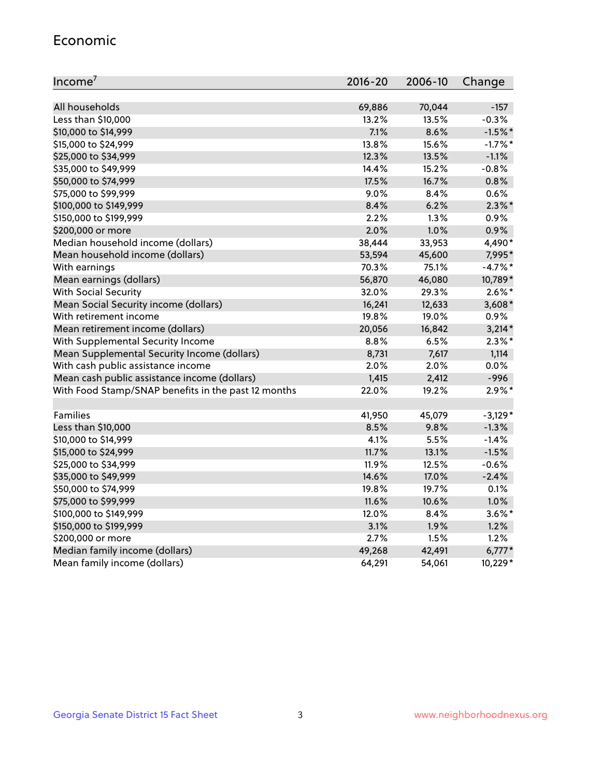#### Economic

| Income <sup>7</sup>                                 | $2016 - 20$ | 2006-10 | Change    |
|-----------------------------------------------------|-------------|---------|-----------|
|                                                     |             |         |           |
| All households                                      | 69,886      | 70,044  | $-157$    |
| Less than \$10,000                                  | 13.2%       | 13.5%   | $-0.3%$   |
| \$10,000 to \$14,999                                | 7.1%        | 8.6%    | $-1.5%$ * |
| \$15,000 to \$24,999                                | 13.8%       | 15.6%   | $-1.7%$ * |
| \$25,000 to \$34,999                                | 12.3%       | 13.5%   | $-1.1%$   |
| \$35,000 to \$49,999                                | 14.4%       | 15.2%   | $-0.8%$   |
| \$50,000 to \$74,999                                | 17.5%       | 16.7%   | 0.8%      |
| \$75,000 to \$99,999                                | 9.0%        | 8.4%    | 0.6%      |
| \$100,000 to \$149,999                              | 8.4%        | 6.2%    | $2.3\%$ * |
| \$150,000 to \$199,999                              | 2.2%        | 1.3%    | 0.9%      |
| \$200,000 or more                                   | 2.0%        | 1.0%    | 0.9%      |
| Median household income (dollars)                   | 38,444      | 33,953  | 4,490*    |
| Mean household income (dollars)                     | 53,594      | 45,600  | 7,995*    |
| With earnings                                       | 70.3%       | 75.1%   | $-4.7%$ * |
| Mean earnings (dollars)                             | 56,870      | 46,080  | 10,789*   |
| <b>With Social Security</b>                         | 32.0%       | 29.3%   | $2.6\%$ * |
| Mean Social Security income (dollars)               | 16,241      | 12,633  | $3,608*$  |
| With retirement income                              | 19.8%       | 19.0%   | 0.9%      |
| Mean retirement income (dollars)                    | 20,056      | 16,842  | $3,214*$  |
| With Supplemental Security Income                   | $8.8\%$     | 6.5%    | $2.3\%$ * |
| Mean Supplemental Security Income (dollars)         | 8,731       | 7,617   | 1,114     |
| With cash public assistance income                  | 2.0%        | 2.0%    | 0.0%      |
| Mean cash public assistance income (dollars)        | 1,415       | 2,412   | $-996$    |
| With Food Stamp/SNAP benefits in the past 12 months | 22.0%       | 19.2%   | $2.9\%$ * |
|                                                     |             |         |           |
| Families                                            | 41,950      | 45,079  | $-3,129*$ |
| Less than \$10,000                                  | $8.5\%$     | 9.8%    | $-1.3%$   |
| \$10,000 to \$14,999                                | 4.1%        | 5.5%    | $-1.4%$   |
| \$15,000 to \$24,999                                | 11.7%       | 13.1%   | $-1.5%$   |
| \$25,000 to \$34,999                                | 11.9%       | 12.5%   | $-0.6%$   |
| \$35,000 to \$49,999                                | 14.6%       | 17.0%   | $-2.4%$   |
| \$50,000 to \$74,999                                | 19.8%       | 19.7%   | 0.1%      |
| \$75,000 to \$99,999                                | 11.6%       | 10.6%   | 1.0%      |
| \$100,000 to \$149,999                              | 12.0%       | $8.4\%$ | $3.6\%$ * |
| \$150,000 to \$199,999                              | 3.1%        | 1.9%    | 1.2%      |
| \$200,000 or more                                   | 2.7%        | 1.5%    | 1.2%      |
| Median family income (dollars)                      | 49,268      | 42,491  | $6,777*$  |
| Mean family income (dollars)                        | 64,291      | 54,061  | 10,229*   |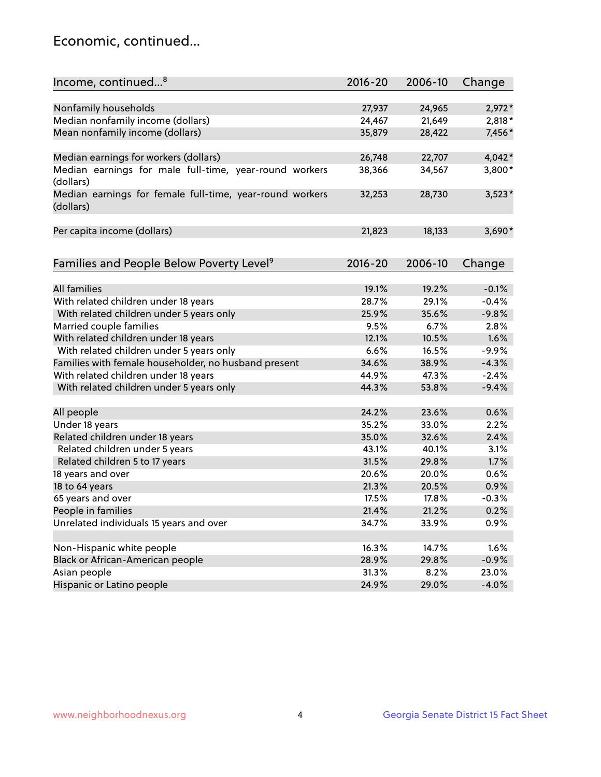## Economic, continued...

| Income, continued <sup>8</sup>                                        | $2016 - 20$ | 2006-10 | Change   |
|-----------------------------------------------------------------------|-------------|---------|----------|
|                                                                       |             |         |          |
| Nonfamily households                                                  | 27,937      | 24,965  | $2,972*$ |
| Median nonfamily income (dollars)                                     | 24,467      | 21,649  | 2,818*   |
| Mean nonfamily income (dollars)                                       | 35,879      | 28,422  | 7,456*   |
| Median earnings for workers (dollars)                                 | 26,748      | 22,707  | $4,042*$ |
| Median earnings for male full-time, year-round workers                | 38,366      | 34,567  | 3,800*   |
| (dollars)                                                             |             |         |          |
| Median earnings for female full-time, year-round workers<br>(dollars) | 32,253      | 28,730  | $3,523*$ |
| Per capita income (dollars)                                           | 21,823      | 18,133  | $3,690*$ |
|                                                                       |             |         |          |
| Families and People Below Poverty Level <sup>9</sup>                  | 2016-20     | 2006-10 | Change   |
|                                                                       |             |         |          |
| <b>All families</b>                                                   | 19.1%       | 19.2%   | $-0.1%$  |
| With related children under 18 years                                  | 28.7%       | 29.1%   | $-0.4%$  |
| With related children under 5 years only                              | 25.9%       | 35.6%   | $-9.8%$  |
| Married couple families                                               | 9.5%        | 6.7%    | 2.8%     |
| With related children under 18 years                                  | 12.1%       | 10.5%   | 1.6%     |
| With related children under 5 years only                              | 6.6%        | 16.5%   | $-9.9%$  |
| Families with female householder, no husband present                  | 34.6%       | 38.9%   | $-4.3%$  |
| With related children under 18 years                                  | 44.9%       | 47.3%   | $-2.4%$  |
| With related children under 5 years only                              | 44.3%       | 53.8%   | $-9.4%$  |
|                                                                       | 24.2%       | 23.6%   | 0.6%     |
| All people                                                            |             |         | 2.2%     |
| Under 18 years                                                        | 35.2%       | 33.0%   |          |
| Related children under 18 years                                       | 35.0%       | 32.6%   | 2.4%     |
| Related children under 5 years                                        | 43.1%       | 40.1%   | 3.1%     |
| Related children 5 to 17 years                                        | 31.5%       | 29.8%   | 1.7%     |
| 18 years and over                                                     | 20.6%       | 20.0%   | 0.6%     |
| 18 to 64 years                                                        | 21.3%       | 20.5%   | 0.9%     |
| 65 years and over                                                     | 17.5%       | 17.8%   | $-0.3%$  |
| People in families                                                    | 21.4%       | 21.2%   | 0.2%     |
| Unrelated individuals 15 years and over                               | 34.7%       | 33.9%   | 0.9%     |
|                                                                       | 16.3%       | 14.7%   | 1.6%     |
| Non-Hispanic white people                                             |             |         |          |
| Black or African-American people                                      | 28.9%       | 29.8%   | $-0.9%$  |
| Asian people                                                          | 31.3%       | 8.2%    | 23.0%    |
| Hispanic or Latino people                                             | 24.9%       | 29.0%   | $-4.0%$  |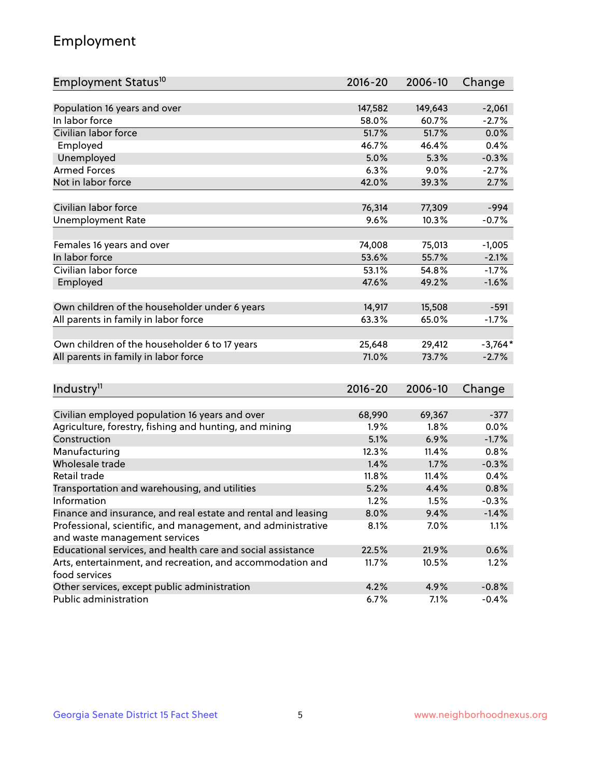## Employment

| Employment Status <sup>10</sup>                                             | $2016 - 20$ | 2006-10 | Change    |
|-----------------------------------------------------------------------------|-------------|---------|-----------|
|                                                                             |             |         |           |
| Population 16 years and over                                                | 147,582     | 149,643 | $-2,061$  |
| In labor force                                                              | 58.0%       | 60.7%   | $-2.7%$   |
| Civilian labor force                                                        | 51.7%       | 51.7%   | 0.0%      |
| Employed                                                                    | 46.7%       | 46.4%   | 0.4%      |
| Unemployed                                                                  | 5.0%        | 5.3%    | $-0.3%$   |
| <b>Armed Forces</b>                                                         | 6.3%        | $9.0\%$ | $-2.7%$   |
| Not in labor force                                                          | 42.0%       | 39.3%   | 2.7%      |
|                                                                             |             |         |           |
| Civilian labor force                                                        | 76,314      | 77,309  | $-994$    |
| <b>Unemployment Rate</b>                                                    | 9.6%        | 10.3%   | $-0.7%$   |
|                                                                             |             |         |           |
| Females 16 years and over                                                   | 74,008      | 75,013  | $-1,005$  |
| In labor force                                                              | 53.6%       | 55.7%   | $-2.1%$   |
| Civilian labor force                                                        | 53.1%       | 54.8%   | $-1.7%$   |
| Employed                                                                    | 47.6%       | 49.2%   | $-1.6%$   |
| Own children of the householder under 6 years                               | 14,917      | 15,508  | $-591$    |
| All parents in family in labor force                                        | 63.3%       | 65.0%   | $-1.7%$   |
|                                                                             |             |         |           |
| Own children of the householder 6 to 17 years                               | 25,648      | 29,412  | $-3,764*$ |
| All parents in family in labor force                                        | 71.0%       | 73.7%   | $-2.7%$   |
|                                                                             |             |         |           |
| Industry <sup>11</sup>                                                      | $2016 - 20$ | 2006-10 | Change    |
|                                                                             |             |         |           |
| Civilian employed population 16 years and over                              | 68,990      | 69,367  | $-377$    |
| Agriculture, forestry, fishing and hunting, and mining                      | 1.9%        | 1.8%    | 0.0%      |
| Construction                                                                | 5.1%        | 6.9%    | $-1.7%$   |
| Manufacturing                                                               | 12.3%       | 11.4%   | 0.8%      |
| Wholesale trade                                                             | 1.4%        | 1.7%    | $-0.3%$   |
| Retail trade                                                                | 11.8%       | 11.4%   | 0.4%      |
| Transportation and warehousing, and utilities                               | 5.2%        | 4.4%    | 0.8%      |
| Information                                                                 | 1.2%        | 1.5%    | $-0.3%$   |
| Finance and insurance, and real estate and rental and leasing               | 8.0%        | 9.4%    | $-1.4%$   |
| Professional, scientific, and management, and administrative                | 8.1%        | 7.0%    | 1.1%      |
| and waste management services                                               |             |         |           |
| Educational services, and health care and social assistance                 | 22.5%       | 21.9%   | 0.6%      |
| Arts, entertainment, and recreation, and accommodation and<br>food services | 11.7%       | 10.5%   | 1.2%      |
| Other services, except public administration                                | 4.2%        | 4.9%    | $-0.8%$   |
| Public administration                                                       | 6.7%        | 7.1%    | $-0.4%$   |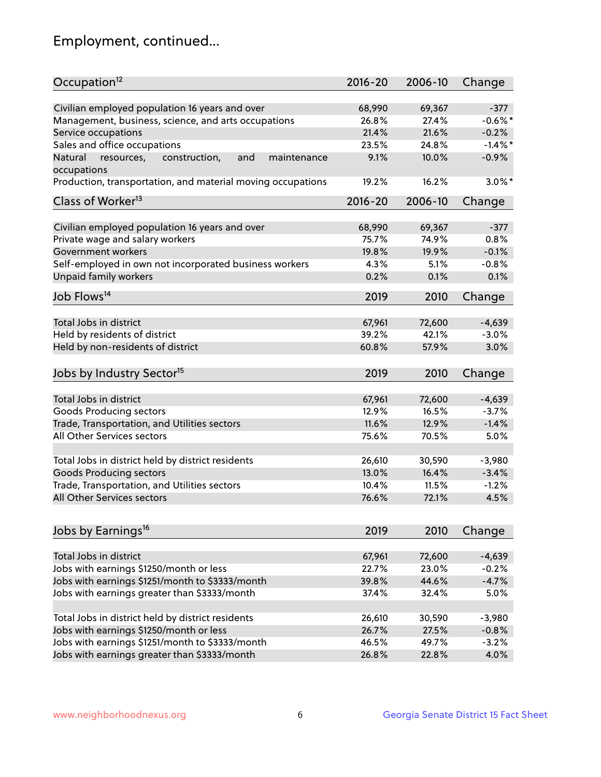## Employment, continued...

| Occupation <sup>12</sup>                                    | $2016 - 20$ | 2006-10 | Change     |
|-------------------------------------------------------------|-------------|---------|------------|
| Civilian employed population 16 years and over              | 68,990      | 69,367  | $-377$     |
| Management, business, science, and arts occupations         | 26.8%       | 27.4%   | $-0.6%$ *  |
| Service occupations                                         | 21.4%       | 21.6%   | $-0.2%$    |
| Sales and office occupations                                | 23.5%       | 24.8%   | $-1.4\%$ * |
| and<br>maintenance<br>Natural                               | 9.1%        | 10.0%   | $-0.9%$    |
| resources,<br>construction,<br>occupations                  |             |         |            |
| Production, transportation, and material moving occupations | 19.2%       | 16.2%   | $3.0\%$ *  |
| Class of Worker <sup>13</sup>                               | $2016 - 20$ | 2006-10 | Change     |
|                                                             |             |         |            |
| Civilian employed population 16 years and over              | 68,990      | 69,367  | $-377$     |
| Private wage and salary workers                             | 75.7%       | 74.9%   | 0.8%       |
| Government workers                                          | 19.8%       | 19.9%   | $-0.1%$    |
| Self-employed in own not incorporated business workers      | 4.3%        | 5.1%    | $-0.8%$    |
| Unpaid family workers                                       | 0.2%        | 0.1%    | 0.1%       |
| Job Flows <sup>14</sup>                                     | 2019        | 2010    | Change     |
|                                                             |             |         |            |
| Total Jobs in district                                      | 67,961      | 72,600  | $-4,639$   |
| Held by residents of district                               | 39.2%       | 42.1%   | $-3.0%$    |
| Held by non-residents of district                           | 60.8%       | 57.9%   | 3.0%       |
| Jobs by Industry Sector <sup>15</sup>                       | 2019        | 2010    | Change     |
| Total Jobs in district                                      |             |         |            |
|                                                             | 67,961      | 72,600  | $-4,639$   |
| Goods Producing sectors                                     | 12.9%       | 16.5%   | $-3.7%$    |
| Trade, Transportation, and Utilities sectors                | 11.6%       | 12.9%   | $-1.4%$    |
| All Other Services sectors                                  | 75.6%       | 70.5%   | 5.0%       |
| Total Jobs in district held by district residents           | 26,610      | 30,590  | $-3,980$   |
| <b>Goods Producing sectors</b>                              | 13.0%       | 16.4%   | $-3.4%$    |
| Trade, Transportation, and Utilities sectors                | 10.4%       | 11.5%   | $-1.2%$    |
| All Other Services sectors                                  | 76.6%       | 72.1%   | 4.5%       |
|                                                             |             |         |            |
| Jobs by Earnings <sup>16</sup>                              | 2019        | 2010    | Change     |
|                                                             |             |         |            |
| Total Jobs in district                                      | 67,961      | 72,600  | $-4,639$   |
| Jobs with earnings \$1250/month or less                     | 22.7%       | 23.0%   | $-0.2%$    |
| Jobs with earnings \$1251/month to \$3333/month             | 39.8%       | 44.6%   | $-4.7%$    |
| Jobs with earnings greater than \$3333/month                | 37.4%       | 32.4%   | 5.0%       |
| Total Jobs in district held by district residents           | 26,610      | 30,590  | $-3,980$   |
| Jobs with earnings \$1250/month or less                     | 26.7%       | 27.5%   | $-0.8%$    |
| Jobs with earnings \$1251/month to \$3333/month             | 46.5%       | 49.7%   | $-3.2%$    |
| Jobs with earnings greater than \$3333/month                | 26.8%       | 22.8%   | 4.0%       |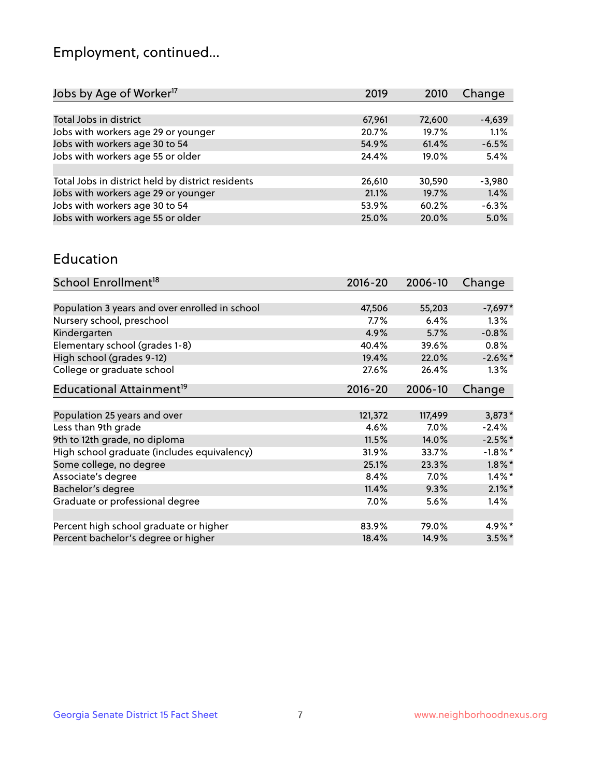## Employment, continued...

| Jobs by Age of Worker <sup>17</sup>               | 2019   | 2010   | Change   |
|---------------------------------------------------|--------|--------|----------|
|                                                   |        |        |          |
| Total Jobs in district                            | 67,961 | 72,600 | $-4,639$ |
| Jobs with workers age 29 or younger               | 20.7%  | 19.7%  | 1.1%     |
| Jobs with workers age 30 to 54                    | 54.9%  | 61.4%  | $-6.5%$  |
| Jobs with workers age 55 or older                 | 24.4%  | 19.0%  | 5.4%     |
|                                                   |        |        |          |
| Total Jobs in district held by district residents | 26,610 | 30,590 | $-3.980$ |
| Jobs with workers age 29 or younger               | 21.1%  | 19.7%  | 1.4%     |
| Jobs with workers age 30 to 54                    | 53.9%  | 60.2%  | $-6.3%$  |
| Jobs with workers age 55 or older                 | 25.0%  | 20.0%  | 5.0%     |
|                                                   |        |        |          |

#### Education

| School Enrollment <sup>18</sup>                | $2016 - 20$ | 2006-10 | Change     |
|------------------------------------------------|-------------|---------|------------|
|                                                |             |         |            |
| Population 3 years and over enrolled in school | 47,506      | 55,203  | $-7,697*$  |
| Nursery school, preschool                      | $7.7\%$     | 6.4%    | $1.3\%$    |
| Kindergarten                                   | 4.9%        | 5.7%    | $-0.8%$    |
| Elementary school (grades 1-8)                 | 40.4%       | 39.6%   | $0.8\%$    |
| High school (grades 9-12)                      | 19.4%       | 22.0%   | $-2.6\%$ * |
| College or graduate school                     | 27.6%       | 26.4%   | $1.3\%$    |
| Educational Attainment <sup>19</sup>           | $2016 - 20$ | 2006-10 | Change     |
|                                                |             |         |            |
| Population 25 years and over                   | 121,372     | 117,499 | $3,873*$   |
| Less than 9th grade                            | 4.6%        | 7.0%    | $-2.4%$    |
| 9th to 12th grade, no diploma                  | 11.5%       | 14.0%   | $-2.5%$ *  |
| High school graduate (includes equivalency)    | 31.9%       | 33.7%   | $-1.8\%$ * |
| Some college, no degree                        | 25.1%       | 23.3%   | $1.8\%$ *  |
| Associate's degree                             | 8.4%        | 7.0%    | $1.4\%$ *  |
| Bachelor's degree                              | 11.4%       | 9.3%    | $2.1\%$ *  |
| Graduate or professional degree                | 7.0%        | 5.6%    | 1.4%       |
|                                                |             |         |            |
| Percent high school graduate or higher         | 83.9%       | 79.0%   | 4.9%*      |
| Percent bachelor's degree or higher            | 18.4%       | 14.9%   | $3.5\%$ *  |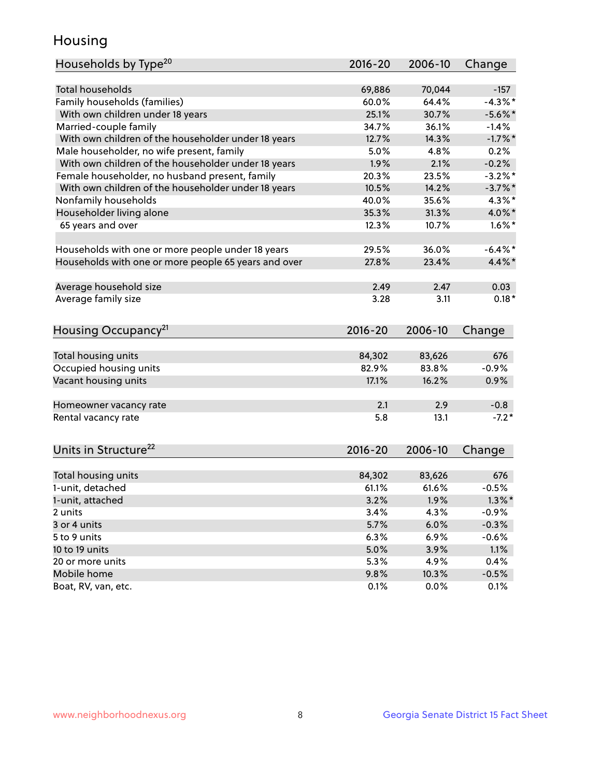## Housing

| Households by Type <sup>20</sup>                     | 2016-20 | 2006-10 | Change     |
|------------------------------------------------------|---------|---------|------------|
|                                                      |         |         |            |
| <b>Total households</b>                              | 69,886  | 70,044  | $-157$     |
| Family households (families)                         | 60.0%   | 64.4%   | $-4.3\%$ * |
| With own children under 18 years                     | 25.1%   | 30.7%   | $-5.6\%$ * |
| Married-couple family                                | 34.7%   | 36.1%   | $-1.4%$    |
| With own children of the householder under 18 years  | 12.7%   | 14.3%   | $-1.7%$ *  |
| Male householder, no wife present, family            | 5.0%    | 4.8%    | 0.2%       |
| With own children of the householder under 18 years  | 1.9%    | 2.1%    | $-0.2%$    |
| Female householder, no husband present, family       | 20.3%   | 23.5%   | $-3.2\%$ * |
| With own children of the householder under 18 years  | 10.5%   | 14.2%   | $-3.7%$    |
| Nonfamily households                                 | 40.0%   | 35.6%   | $4.3\%$ *  |
| Householder living alone                             | 35.3%   | 31.3%   | 4.0%*      |
| 65 years and over                                    | 12.3%   | 10.7%   | $1.6\%$ *  |
|                                                      |         |         |            |
| Households with one or more people under 18 years    | 29.5%   | 36.0%   | $-6.4\%$ * |
| Households with one or more people 65 years and over | 27.8%   | 23.4%   | $4.4\%$ *  |
|                                                      |         |         |            |
| Average household size                               | 2.49    | 2.47    | 0.03       |
| Average family size                                  | 3.28    | 3.11    | $0.18*$    |
|                                                      |         |         |            |
| Housing Occupancy <sup>21</sup>                      | 2016-20 | 2006-10 | Change     |
|                                                      |         |         |            |
| Total housing units                                  | 84,302  | 83,626  | 676        |
| Occupied housing units                               | 82.9%   | 83.8%   | $-0.9%$    |
| Vacant housing units                                 | 17.1%   | 16.2%   | 0.9%       |
|                                                      |         |         |            |
| Homeowner vacancy rate                               | 2.1     | 2.9     | $-0.8$     |
| Rental vacancy rate                                  | 5.8     | 13.1    | $-7.2*$    |
|                                                      |         |         |            |
| Units in Structure <sup>22</sup>                     | 2016-20 |         |            |
|                                                      |         | 2006-10 | Change     |
| Total housing units                                  | 84,302  | 83,626  | 676        |
| 1-unit, detached                                     | 61.1%   | 61.6%   | $-0.5%$    |
| 1-unit, attached                                     | 3.2%    | 1.9%    | $1.3\%$ *  |
| 2 units                                              | 3.4%    | 4.3%    | $-0.9%$    |
| 3 or 4 units                                         | 5.7%    | 6.0%    | $-0.3%$    |
| 5 to 9 units                                         | 6.3%    | 6.9%    | $-0.6%$    |
|                                                      |         |         |            |
| 10 to 19 units<br>20 or more units                   | 5.0%    | 3.9%    | 1.1%       |
|                                                      | 5.3%    | 4.9%    | 0.4%       |
| Mobile home                                          | 9.8%    | 10.3%   | $-0.5%$    |
| Boat, RV, van, etc.                                  | 0.1%    | 0.0%    | 0.1%       |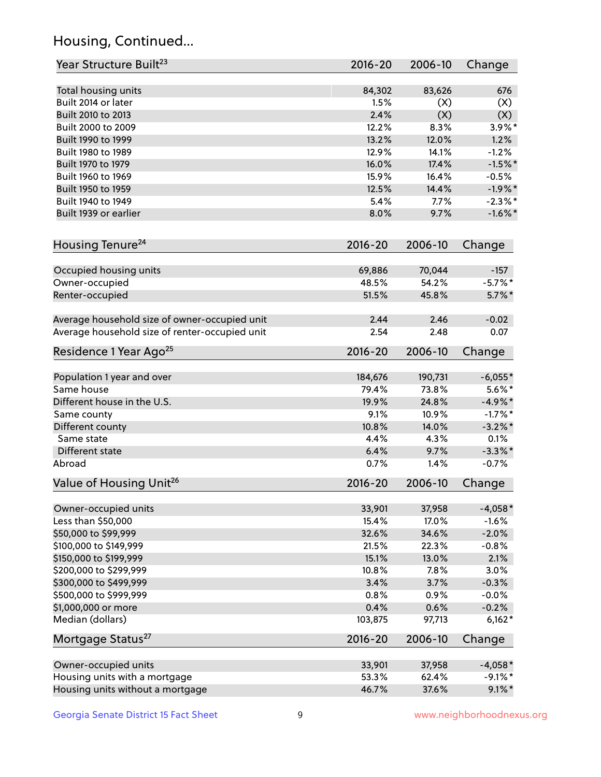## Housing, Continued...

| Year Structure Built <sup>23</sup>             | 2016-20     | 2006-10 | Change     |
|------------------------------------------------|-------------|---------|------------|
| Total housing units                            | 84,302      | 83,626  | 676        |
| Built 2014 or later                            | 1.5%        | (X)     | (X)        |
| Built 2010 to 2013                             | 2.4%        | (X)     | (X)        |
| Built 2000 to 2009                             | 12.2%       | 8.3%    | $3.9\%$ *  |
| Built 1990 to 1999                             | 13.2%       | 12.0%   | 1.2%       |
| Built 1980 to 1989                             | 12.9%       | 14.1%   | $-1.2%$    |
| Built 1970 to 1979                             | 16.0%       | 17.4%   | $-1.5%$ *  |
| Built 1960 to 1969                             | 15.9%       | 16.4%   | $-0.5%$    |
| Built 1950 to 1959                             | 12.5%       | 14.4%   | $-1.9%$ *  |
| Built 1940 to 1949                             | 5.4%        | 7.7%    | $-2.3%$ *  |
| Built 1939 or earlier                          | 8.0%        | 9.7%    | $-1.6\%$ * |
| Housing Tenure <sup>24</sup>                   | $2016 - 20$ | 2006-10 | Change     |
| Occupied housing units                         | 69,886      | 70,044  | $-157$     |
| Owner-occupied                                 | 48.5%       | 54.2%   | $-5.7\%$ * |
| Renter-occupied                                | 51.5%       | 45.8%   | $5.7\%$ *  |
| Average household size of owner-occupied unit  | 2.44        | 2.46    | $-0.02$    |
| Average household size of renter-occupied unit | 2.54        | 2.48    | 0.07       |
| Residence 1 Year Ago <sup>25</sup>             | 2016-20     | 2006-10 | Change     |
| Population 1 year and over                     | 184,676     | 190,731 | $-6,055*$  |
| Same house                                     | 79.4%       | 73.8%   | $5.6\%$ *  |
| Different house in the U.S.                    | 19.9%       | 24.8%   | $-4.9\%$ * |
| Same county                                    | 9.1%        | 10.9%   | $-1.7%$ *  |
| Different county                               | 10.8%       | 14.0%   | $-3.2\%$ * |
| Same state                                     | 4.4%        | 4.3%    | 0.1%       |
| Different state                                | 6.4%        | 9.7%    | $-3.3\%$ * |
| Abroad                                         | 0.7%        | 1.4%    | $-0.7%$    |
| Value of Housing Unit <sup>26</sup>            | $2016 - 20$ | 2006-10 | Change     |
| Owner-occupied units                           | 33,901      | 37,958  | $-4,058*$  |
| Less than \$50,000                             | 15.4%       | 17.0%   | $-1.6%$    |
| \$50,000 to \$99,999                           | 32.6%       | 34.6%   | $-2.0%$    |
| \$100,000 to \$149,999                         | 21.5%       | 22.3%   | $-0.8%$    |
| \$150,000 to \$199,999                         | 15.1%       | 13.0%   | 2.1%       |
| \$200,000 to \$299,999                         | 10.8%       | 7.8%    | 3.0%       |
| \$300,000 to \$499,999                         | 3.4%        | 3.7%    | $-0.3%$    |
| \$500,000 to \$999,999                         | 0.8%        | 0.9%    | $-0.0%$    |
| \$1,000,000 or more                            | 0.4%        | 0.6%    | $-0.2%$    |
| Median (dollars)                               | 103,875     | 97,713  | $6,162*$   |
| Mortgage Status <sup>27</sup>                  | $2016 - 20$ | 2006-10 | Change     |
| Owner-occupied units                           | 33,901      | 37,958  | $-4,058*$  |
| Housing units with a mortgage                  | 53.3%       | 62.4%   | $-9.1\%$ * |
| Housing units without a mortgage               | 46.7%       | 37.6%   | $9.1\%$ *  |
|                                                |             |         |            |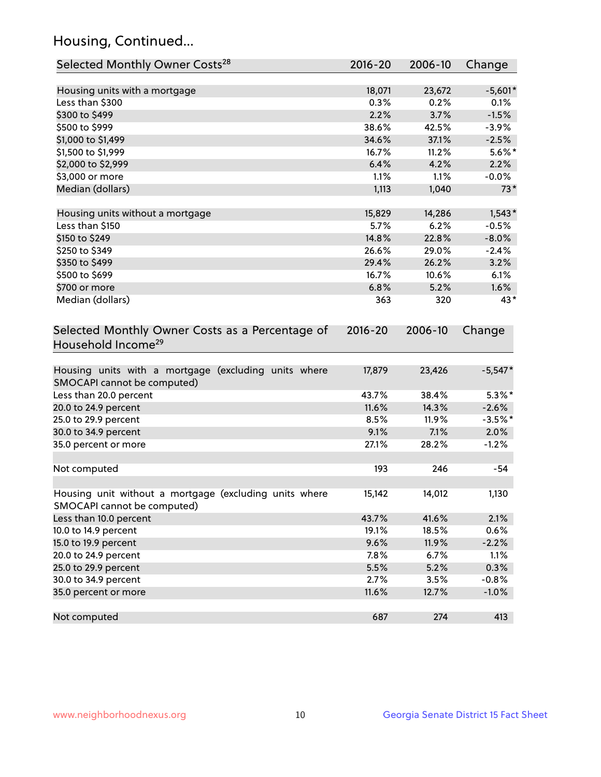## Housing, Continued...

| Selected Monthly Owner Costs <sup>28</sup>                                            | 2016-20     | 2006-10 | Change    |
|---------------------------------------------------------------------------------------|-------------|---------|-----------|
| Housing units with a mortgage                                                         | 18,071      | 23,672  | $-5,601*$ |
| Less than \$300                                                                       | 0.3%        | 0.2%    | 0.1%      |
| \$300 to \$499                                                                        | 2.2%        | 3.7%    | $-1.5%$   |
| \$500 to \$999                                                                        | 38.6%       | 42.5%   | $-3.9%$   |
| \$1,000 to \$1,499                                                                    | 34.6%       | 37.1%   | $-2.5%$   |
| \$1,500 to \$1,999                                                                    | 16.7%       | 11.2%   | $5.6\%$ * |
| \$2,000 to \$2,999                                                                    | 6.4%        | 4.2%    | 2.2%      |
| \$3,000 or more                                                                       | 1.1%        | 1.1%    | $-0.0%$   |
| Median (dollars)                                                                      | 1,113       | 1,040   | $73*$     |
| Housing units without a mortgage                                                      | 15,829      | 14,286  | $1,543*$  |
| Less than \$150                                                                       | 5.7%        | 6.2%    | $-0.5%$   |
| \$150 to \$249                                                                        | 14.8%       | 22.8%   | $-8.0%$   |
| \$250 to \$349                                                                        | 26.6%       | 29.0%   | $-2.4%$   |
| \$350 to \$499                                                                        | 29.4%       | 26.2%   | 3.2%      |
| \$500 to \$699                                                                        | 16.7%       | 10.6%   | 6.1%      |
| \$700 or more                                                                         | 6.8%        | 5.2%    | 1.6%      |
| Median (dollars)                                                                      | 363         | 320     | 43*       |
| Selected Monthly Owner Costs as a Percentage of<br>Household Income <sup>29</sup>     | $2016 - 20$ | 2006-10 | Change    |
| Housing units with a mortgage (excluding units where<br>SMOCAPI cannot be computed)   | 17,879      | 23,426  | $-5,547*$ |
| Less than 20.0 percent                                                                | 43.7%       | 38.4%   | $5.3\%$ * |
| 20.0 to 24.9 percent                                                                  | 11.6%       | 14.3%   | $-2.6%$   |
| 25.0 to 29.9 percent                                                                  | 8.5%        | 11.9%   | $-3.5%$ * |
| 30.0 to 34.9 percent                                                                  | 9.1%        | 7.1%    | 2.0%      |
| 35.0 percent or more                                                                  | 27.1%       | 28.2%   | $-1.2%$   |
| Not computed                                                                          | 193         | 246     | $-54$     |
| Housing unit without a mortgage (excluding units where<br>SMOCAPI cannot be computed) | 15,142      | 14,012  | 1,130     |
| Less than 10.0 percent                                                                | 43.7%       | 41.6%   | 2.1%      |
| 10.0 to 14.9 percent                                                                  | 19.1%       | 18.5%   | 0.6%      |
| 15.0 to 19.9 percent                                                                  | 9.6%        | 11.9%   | $-2.2%$   |
| 20.0 to 24.9 percent                                                                  | 7.8%        | 6.7%    | 1.1%      |
| 25.0 to 29.9 percent                                                                  | 5.5%        | 5.2%    | 0.3%      |
| 30.0 to 34.9 percent                                                                  | 2.7%        | 3.5%    | $-0.8%$   |
| 35.0 percent or more                                                                  | 11.6%       | 12.7%   | $-1.0%$   |
| Not computed                                                                          | 687         | 274     | 413       |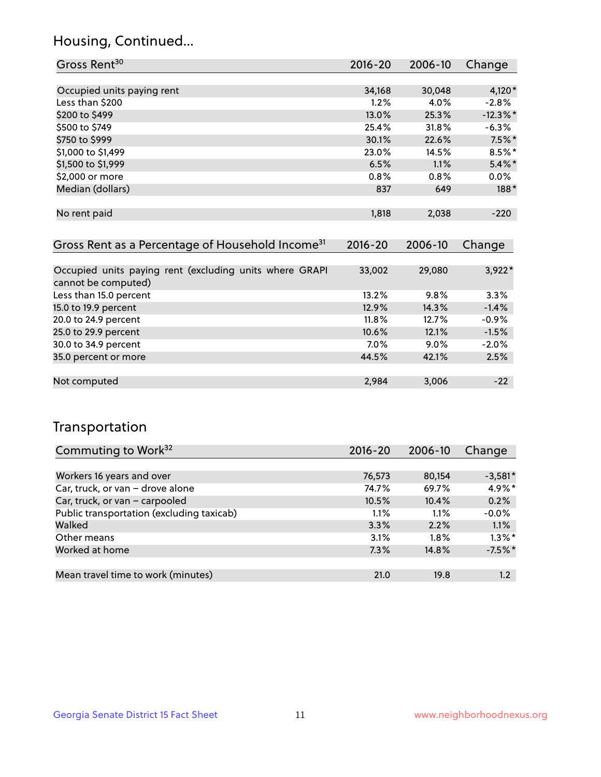## Housing, Continued...

| Gross Rent <sup>30</sup>                                                       | $2016 - 20$ | 2006-10 | Change      |
|--------------------------------------------------------------------------------|-------------|---------|-------------|
|                                                                                |             |         |             |
| Occupied units paying rent                                                     | 34,168      | 30,048  | $4,120*$    |
| Less than \$200                                                                | 1.2%        | 4.0%    | $-2.8%$     |
| \$200 to \$499                                                                 | 13.0%       | 25.3%   | $-12.3\%$ * |
| \$500 to \$749                                                                 | 25.4%       | 31.8%   | $-6.3%$     |
| \$750 to \$999                                                                 | 30.1%       | 22.6%   | $7.5\%$ *   |
| \$1,000 to \$1,499                                                             | 23.0%       | 14.5%   | $8.5\%$ *   |
| \$1,500 to \$1,999                                                             | 6.5%        | 1.1%    | $5.4\%$ *   |
| \$2,000 or more                                                                | 0.8%        | 0.8%    | $0.0\%$     |
| Median (dollars)                                                               | 837         | 649     | $188*$      |
| No rent paid                                                                   | 1,818       | 2,038   | $-220$      |
| Gross Rent as a Percentage of Household Income <sup>31</sup>                   | $2016 - 20$ | 2006-10 | Change      |
| Occupied units paying rent (excluding units where GRAPI<br>cannot be computed) | 33,002      | 29,080  | $3,922*$    |
| Less than 15.0 percent                                                         | 13.2%       | 9.8%    | 3.3%        |
| 15.0 to 19.9 percent                                                           | 12.9%       | 14.3%   | $-1.4%$     |
| 20.0 to 24.9 percent                                                           | 11.8%       | 12.7%   | $-0.9%$     |
| 25.0 to 29.9 percent                                                           | 10.6%       | 12.1%   | $-1.5%$     |
| 30.0 to 34.9 percent                                                           | $7.0\%$     | 9.0%    | $-2.0%$     |
| 35.0 percent or more                                                           | 44.5%       | 42.1%   | 2.5%        |
| Not computed                                                                   | 2,984       | 3,006   | $-22$       |

## Transportation

| Commuting to Work <sup>32</sup>           | 2016-20 | 2006-10 | Change    |
|-------------------------------------------|---------|---------|-----------|
|                                           |         |         |           |
| Workers 16 years and over                 | 76,573  | 80,154  | $-3,581*$ |
| Car, truck, or van - drove alone          | 74.7%   | 69.7%   | $4.9\%$ * |
| Car, truck, or van - carpooled            | 10.5%   | 10.4%   | 0.2%      |
| Public transportation (excluding taxicab) | 1.1%    | 1.1%    | $-0.0%$   |
| Walked                                    | 3.3%    | 2.2%    | 1.1%      |
| Other means                               | 3.1%    | $1.8\%$ | $1.3\%$ * |
| Worked at home                            | 7.3%    | 14.8%   | $-7.5%$ * |
|                                           |         |         |           |
| Mean travel time to work (minutes)        | 21.0    | 19.8    | 1.2       |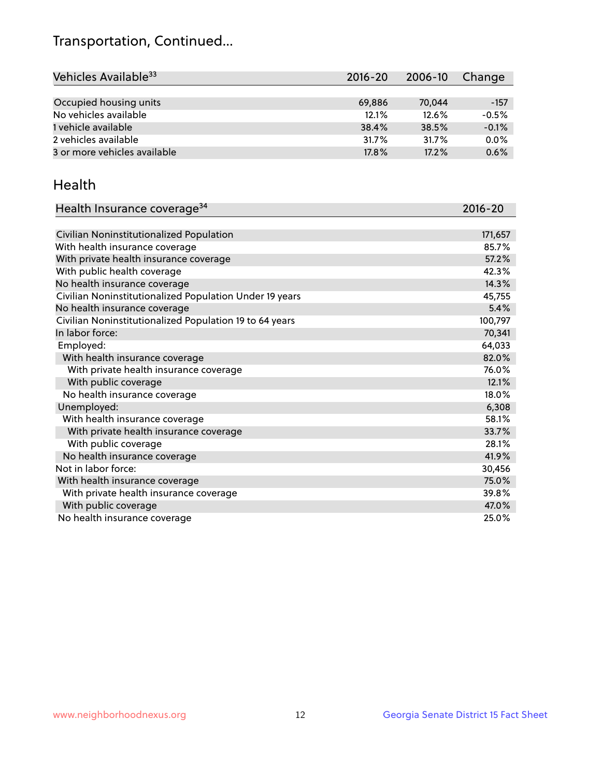## Transportation, Continued...

| Vehicles Available <sup>33</sup> | $2016 - 20$ | 2006-10 | Change  |
|----------------------------------|-------------|---------|---------|
|                                  |             |         |         |
| Occupied housing units           | 69.886      | 70,044  | $-157$  |
| No vehicles available            | 12.1%       | 12.6%   | $-0.5%$ |
| 1 vehicle available              | 38.4%       | 38.5%   | $-0.1%$ |
| 2 vehicles available             | 31.7%       | 31.7%   | $0.0\%$ |
| 3 or more vehicles available     | 17.8%       | 17.2%   | 0.6%    |

#### Health

| Health Insurance coverage <sup>34</sup>                 | 2016-20 |
|---------------------------------------------------------|---------|
|                                                         |         |
| Civilian Noninstitutionalized Population                | 171,657 |
| With health insurance coverage                          | 85.7%   |
| With private health insurance coverage                  | 57.2%   |
| With public health coverage                             | 42.3%   |
| No health insurance coverage                            | 14.3%   |
| Civilian Noninstitutionalized Population Under 19 years | 45,755  |
| No health insurance coverage                            | 5.4%    |
| Civilian Noninstitutionalized Population 19 to 64 years | 100,797 |
| In labor force:                                         | 70,341  |
| Employed:                                               | 64,033  |
| With health insurance coverage                          | 82.0%   |
| With private health insurance coverage                  | 76.0%   |
| With public coverage                                    | 12.1%   |
| No health insurance coverage                            | 18.0%   |
| Unemployed:                                             | 6,308   |
| With health insurance coverage                          | 58.1%   |
| With private health insurance coverage                  | 33.7%   |
| With public coverage                                    | 28.1%   |
| No health insurance coverage                            | 41.9%   |
| Not in labor force:                                     | 30,456  |
| With health insurance coverage                          | 75.0%   |
| With private health insurance coverage                  | 39.8%   |
| With public coverage                                    | 47.0%   |
| No health insurance coverage                            | 25.0%   |